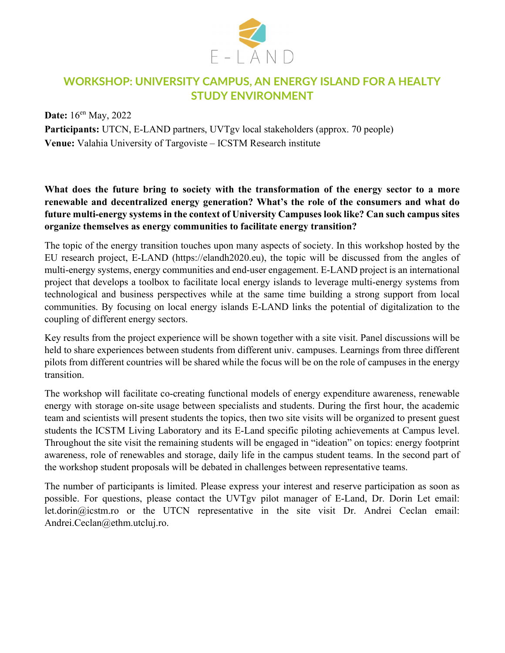

## WORKSHOP: UNIVERSITY CAMPUS, AN ENERGY ISLAND FOR A HEALTY STUDY ENVIRONMENT

Date: 16<sup>en</sup> May, 2022 Participants: UTCN, E-LAND partners, UVTgv local stakeholders (approx. 70 people) Venue: Valahia University of Targoviste – ICSTM Research institute

What does the future bring to society with the transformation of the energy sector to a more renewable and decentralized energy generation? What's the role of the consumers and what do future multi-energy systems in the context of University Campuses look like? Can such campus sites organize themselves as energy communities to facilitate energy transition?

The topic of the energy transition touches upon many aspects of society. In this workshop hosted by the EU research project, E-LAND (https://elandh2020.eu), the topic will be discussed from the angles of multi-energy systems, energy communities and end-user engagement. E-LAND project is an international project that develops a toolbox to facilitate local energy islands to leverage multi-energy systems from technological and business perspectives while at the same time building a strong support from local communities. By focusing on local energy islands E-LAND links the potential of digitalization to the coupling of different energy sectors.

Key results from the project experience will be shown together with a site visit. Panel discussions will be held to share experiences between students from different univ. campuses. Learnings from three different pilots from different countries will be shared while the focus will be on the role of campuses in the energy transition.

The workshop will facilitate co-creating functional models of energy expenditure awareness, renewable energy with storage on-site usage between specialists and students. During the first hour, the academic team and scientists will present students the topics, then two site visits will be organized to present guest students the ICSTM Living Laboratory and its E-Land specific piloting achievements at Campus level. Throughout the site visit the remaining students will be engaged in "ideation" on topics: energy footprint awareness, role of renewables and storage, daily life in the campus student teams. In the second part of the workshop student proposals will be debated in challenges between representative teams.

The number of participants is limited. Please express your interest and reserve participation as soon as possible. For questions, please contact the UVTgv pilot manager of E-Land, Dr. Dorin Let email: let.dorin@icstm.ro or the UTCN representative in the site visit Dr. Andrei Ceclan email: Andrei.Ceclan@ethm.utcluj.ro.